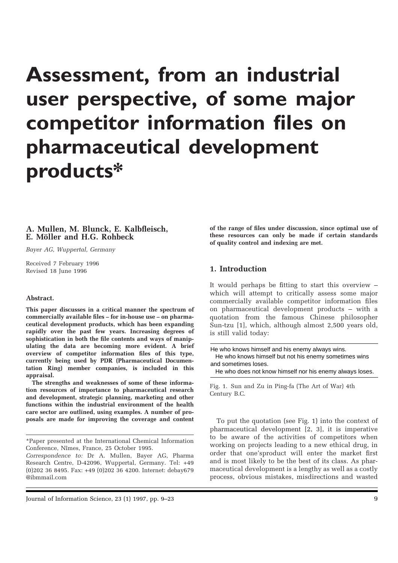# **Assessment, from an industrial user perspective, of some major competitor information files on pharmaceutical development products\***

## **A. Mullen, M. Blunck, E. Kalbfleisch, E. Möller and H.G. Rohbeck**

*Bayer AG, Wuppertal, Germany*

Received 7 February 1996 Revised 18 June 1996

#### **Abstract.**

**This paper discusses in a critical manner the spectrum of commercially available files – for in-house use – on pharmaceutical development products, which has been expanding rapidly over the past few years. Increasing degrees of sophistication in both the file contents and ways of manipulating the data are becoming more evident. A brief overview of competitor information files of this type, currently being used by PDR (Pharmaceutical Documentation Ring) member companies, is included in this appraisal.**

**The strengths and weaknesses of some of these information resources of importance to pharmaceutical research and development, strategic planning, marketing and other functions within the industrial environment of the health care sector are outlined, using examples. A number of proposals are made for improving the coverage and content**  **of the range of files under discussion, since optimal use of these resources can only be made if certain standards of quality control and indexing are met.**

## **1. Introduction**

It would perhaps be fitting to start this overview – which will attempt to critically assess some major commercially available competitor information files on pharmaceutical development products – with a quotation from the famous Chinese philosopher Sun-tzu [1], which, although almost 2,500 years old, is still valid today:

| He who knows himself and his enemy always wins.          |
|----------------------------------------------------------|
| He who knows himself but not his enemy sometimes wins    |
| and sometimes loses.                                     |
| He who does not know himself nor his enemy always loses. |

Fig. 1. Sun and Zu in Ping-fa (The Art of War) 4th Century B.C.

To put the quotation (see Fig. 1) into the context of pharmaceutical development [2, 3], it is imperative to be aware of the activities of competitors when working on projects leading to a new ethical drug, in order that one'sproduct will enter the market first and is most likely to be the best of its class. As pharmaceutical development is a lengthy as well as a costly process, obvious mistakes, misdirections and wasted

<sup>\*</sup>Paper presented at the International Chemical Information Conference, Nîmes, France, 25 October 1995.

*Correspondence to:* Dr A. Mullen, Bayer AG, Pharma Research Centre, D-42096, Wuppertal, Germany. Tel: +49 (0)202 36 8495. Fax: +49 (0)202 36 4200. Internet: debay679 @ibmmail.com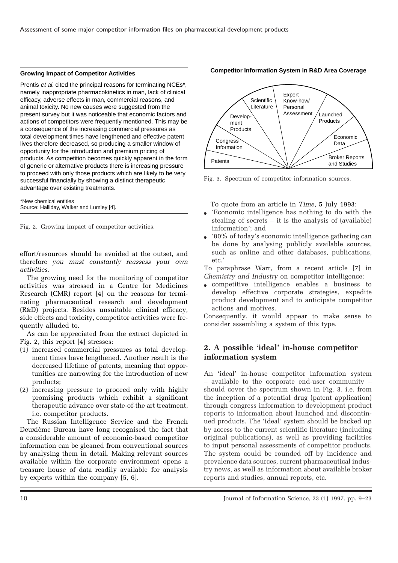#### **Growing Impact of Competitor Activities**

Prentis *et al.* cited the principal reasons for terminating NCEs<sup>\*</sup>, namely inappropriate pharmacokinetics in man, lack of clinical efficacy, adverse effects in man, commercial reasons, and animal toxicity. No new causes were suggested from the present survey but it was noticeable that economic factors and actions of competitors were frequently mentioned. This may be a consequence of the increasing commercial pressures as total development times have lengthened and effective patent lives therefore decreased, so producing a smaller window of opportunity for the introduction and premium pricing of products. As competition becomes quickly apparent in the form of generic or alternative products there is increasing pressure to proceed with only those products which are likely to be very successful financially by showing a distinct therapeutic advantage over existing treatments.

\*New chemical entities Source: Halliday, Walker and Lumley [4].

Fig. 2. Growing impact of competitor activities.

effort/resources should be avoided at the outset, and therefore *you must constantly reassess your own activities*.

The growing need for the monitoring of competitor activities was stressed in a Centre for Medicines Research (CMR) report [4] on the reasons for terminating pharmaceutical research and development (R&D) projects. Besides unsuitable clinical efficacy, side effects and toxicity, competitor activities were frequently alluded to.

As can be appreciated from the extract depicted in Fig. 2, this report [4] stresses:

- (1) increased commercial pressures as total development times have lengthened. Another result is the decreased lifetime of patents, meaning that opportunities are narrowing for the introduction of new products;
- (2) increasing pressure to proceed only with highly promising products which exhibit a significant therapeutic advance over state-of-the art treatment, i.e. competitor products.

The Russian Intelligence Service and the French Deuxième Bureau have long recognised the fact that a considerable amount of economic-based competitor information can be gleaned from conventional sources by analysing them in detail. Making relevant sources available within the corporate environment opens a treasure house of data readily available for analysis by experts within the company [5, 6].



#### **Competitor Information System in R&D Area Coverage**

Fig. 3. Spectrum of competitor information sources.

To quote from an article in *Time*, 5 July 1993:

- Economic intelligence has nothing to do with the stealing of secrets – it is the analysis of (available) information'; and
- '80% of today's economic intelligence gathering can be done by analysing publicly available sources, such as online and other databases, publications, etc.'

To paraphrase Warr, from a recent article [7] in *Chemistry and Industry* on competitor intelligence:

● competitive intelligence enables a business to develop effective corporate strategies, expedite product development and to anticipate competitor actions and motives.

Consequently, it would appear to make sense to consider assembling a system of this type.

# **2. A possible 'ideal' in-house competitor information system**

An 'ideal' in-house competitor information system – available to the corporate end-user community – should cover the spectrum shown in Fig. 3, i.e. from the inception of a potential drug (patent application) through congress information to development product reports to information about launched and discontinued products. The 'ideal' system should be backed up by access to the current scientific literature (including original publications), as well as providing facilities to input personal assessments of competitor products. The system could be rounded off by incidence and prevalence data sources, current pharmaceutical industry news, as well as information about available broker reports and studies, annual reports, etc.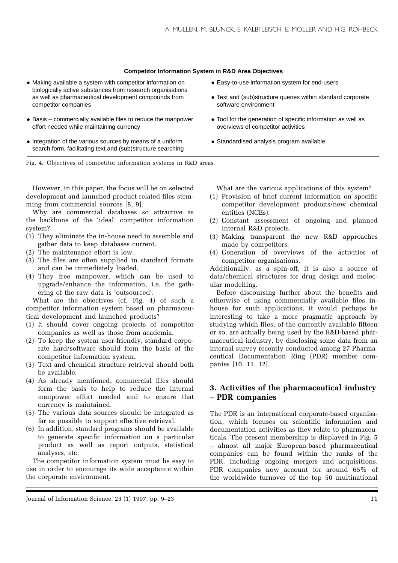#### **Competitor Information System in R&D Area Objectives**

- Making available a system with competitor information on biologically active substances from research organisations as well as pharmaceutical development compounds from competitor companies
- Basis commercially available files to reduce the manpower effort needed while maintaining currency
- Integration of the various sources by means of a uniform search form, facilitating text and (sub)structure searching
- Easy-to-use information system for end-users
- Text and (sub)structure queries within standard corporate software environment
- Tool for the generation of specific information as well as overviews of competitor activities
- Standardised analysis program available

Fig. 4. Objectives of competitor information systems in R&D areas.

However, in this paper, the focus will be on selected development and launched product-related files stemming from commercial sources [8, 9].

Why are commercial databases so attractive as the backbone of the 'ideal' competitor information system?

- (1) They eliminate the in-house need to assemble and gather data to keep databases current.
- (2) The maintenance effort is low.
- (3) The files are often supplied in standard formats and can be immediately loaded.
- (4) They free manpower, which can be used to upgrade/enhance the information, i.e. the gathering of the raw data is 'outsourced'.

What are the objectives (cf. Fig. 4) of such a competitor information system based on pharmaceutical development and launched products?

- (1) It should cover ongoing projects of competitor companies as well as those from academia.
- (2) To keep the system user-friendly, standard corporate hard/software should form the basis of the competitor information system.
- (3) Text and chemical structure retrieval should both be available.
- (4) As already mentioned, commercial files should form the basis to help to reduce the internal manpower effort needed and to ensure that currency is maintained.
- (5) The various data sources should be integrated as far as possible to support effective retrieval.
- (6) In addition, standard programs should be available to generate specific information on a particular product as well as report outputs, statistical analyses, etc.

The competitor information system must be easy to use in order to encourage its wide acceptance within the corporate environment.

What are the various applications of this system?

- (1) Provision of brief current information on specific competitor development products/new chemical entities (NCEs).
- (2) Constant assessment of ongoing and planned internal R&D projects.
- (3) Making transparent the new R&D approaches made by competitors.
- (4) Generation of overviews of the activities of competitor organisations.

Additionally, as a spin-off, it is also a source of data/chemical structures for drug design and molecular modelling.

Before discoursing further about the benefits and otherwise of using commercially available files inhouse for such applications, it would perhaps be interesting to take a more pragmatic approach by studying which files, of the currently available fifteen or so, are actually being used by the R&D-based pharmaceutical industry, by disclosing some data from an internal survey recently conducted among 27 Pharmaceutical Documentation Ring (PDR) member companies [10, 11, 12].

# **3. Activities of the pharmaceutical industry – PDR companies**

The PDR is an international corporate-based organisation, which focuses on scientific information and documentation activities as they relate to pharmaceuticals. The present membership is displayed in Fig. 5 – almost all major European-based pharmaceutical companies can be found within the ranks of the PDR. Including ongoing mergers and acquisitions. PDR companies now account for around 65% of the worldwide turnover of the top 50 multinational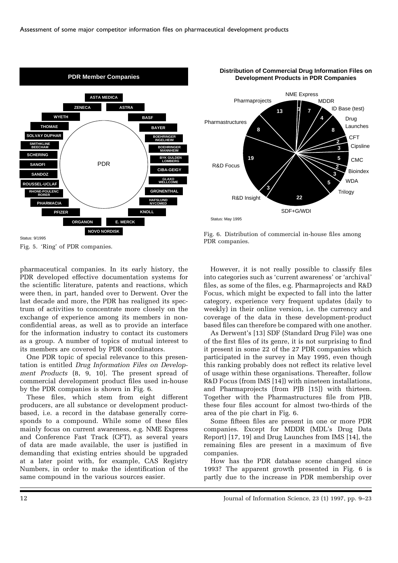



**1 13 7**

NME Express

MDDR

**4**

ID Base (test) Drug Launches **CFT Cipsline** 

> CMC Bioindex **WDA Trilogy**

Fig. 6. Distribution of commercial in-house files among PDR companies.

SDF+G/WDI

**22**

R&D Insight

**19**

Pharmaprojects

**8**

**3**

Status: May 1995

R&D Focus

Pharmastructures

Fig. 5. 'Ring' of PDR companies.

pharmaceutical companies. In its early history, the PDR developed effective documentation systems for the scientific literature, patents and reactions, which were then, in part, handed over to Derwent. Over the last decade and more, the PDR has realigned its spectrum of activities to concentrate more closely on the exchange of experience among its members in nonconfidential areas, as well as to provide an interface for the information industry to contact its customers as a group. A number of topics of mutual interest to its members are covered by PDR coordinators.

One PDR topic of special relevance to this presentation is entitled *Drug Information Files on Development Products* (8, 9, 10]. The present spread of commercial development product files used in-house by the PDR companies is shown in Fig. 6.

These files, which stem from eight different producers, are all substance or development productbased, i.e. a record in the database generally corresponds to a compound. While some of these files mainly focus on current awareness, e.g. NME Express and Conference Fast Track (CFT), as several years of data are made available, the user is justified in demanding that existing entries should be upgraded at a later point with, for example, CAS Registry Numbers, in order to make the identification of the same compound in the various sources easier.

However, it is not really possible to classify files into categories such as 'current awareness' or 'archival' files, as some of the files, e.g. Pharmaprojects and R&D Focus, which might be expected to fall into the latter category, experience very frequent updates (daily to weekly) in their online version, i.e. the currency and coverage of the data in these development-product based files can therefore be compared with one another.

As Derwent's [13] SDF (Standard Drug File) was one of the first files of its genre, it is not surprising to find it present in some 22 of the 27 PDR companies which participated in the survey in May 1995, even though this ranking probably does not reflect its relative level of usage within these organisations. Thereafter, follow R&D Focus (from IMS [14]) with nineteen installations, and Pharmaprojects (from PJB [15]) with thirteen. Together with the Pharmastructures file from PJB, these four files account for almost two-thirds of the area of the pie chart in Fig. 6.

Some fifteen files are present in one or more PDR companies. Except for MDDR (MDL's Drug Data Report) [17, 19] and Drug Launches from IMS [14], the remaining files are present in a maximum of five companies.

How has the PDR database scene changed since 1993? The apparent growth presented in Fig. 6 is partly due to the increase in PDR membership over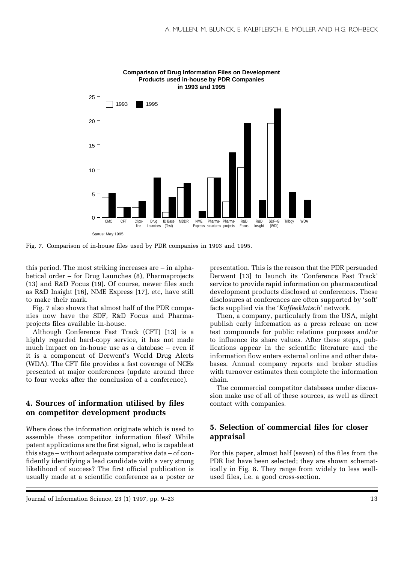

**Comparison of Drug Information Files on Development Products used in-house by PDR Companies in 1993 and 1995**

Fig. 7. Comparison of in-house files used by PDR companies in 1993 and 1995.

this period. The most striking increases are – in alphabetical order – for Drug Launches (8), Pharmaprojects (13) and R&D Focus (19). Of course, newer files such as R&D Insight [16], NME Express [17], etc, have still to make their mark.

Fig. 7 also shows that almost half of the PDR companies now have the SDF, R&D Focus and Pharmaprojects files available in-house.

Although Conference Fast Track (CFT) [13] is a highly regarded hard-copy service, it has not made much impact on in-house use as a database – even if it is a component of Derwent's World Drug Alerts (WDA). The CFT file provides a fast coverage of NCEs presented at major conferences (update around three to four weeks after the conclusion of a conference).

## **4. Sources of information utilised by files on competitor development products**

Where does the information originate which is used to assemble these competitor information files? While patent applications are the first signal, who is capable at this stage – without adequate comparative data – of confidently identifying a lead candidate with a very strong likelihood of success? The first official publication is usually made at a scientific conference as a poster or

presentation. This is the reason that the PDR persuaded Derwent [13] to launch its 'Conference Fast Track' service to provide rapid information on pharmaceutical development products disclosed at conferences. These disclosures at conferences are often supported by 'soft' facts supplied via the '*Kaffeeklatsch*' network.

Then, a company, particularly from the USA, might publish early information as a press release on new test compounds for public relations purposes and/or to influence its share values. After these steps, publications appear in the scientific literature and the information flow enters external online and other databases. Annual company reports and broker studies with turnover estimates then complete the information chain.

The commercial competitor databases under discussion make use of all of these sources, as well as direct contact with companies.

# **5. Selection of commercial files for closer appraisal**

For this paper, almost half (seven) of the files from the PDR list have been selected; they are shown schematically in Fig. 8. They range from widely to less wellused files, i.e. a good cross-section.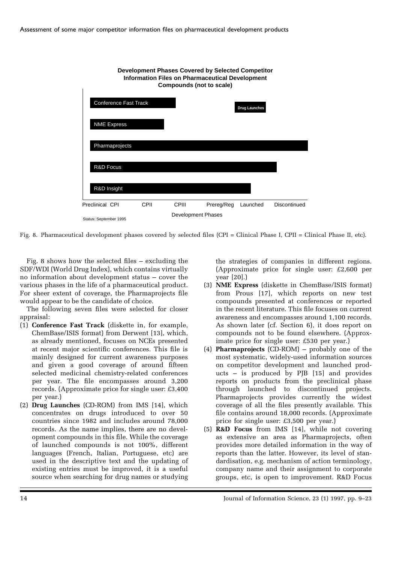

Fig. 8. Pharmaceutical development phases covered by selected files (CPI = Clinical Phase I, CPII = Clinical Phase II, etc).

Fig. 8 shows how the selected files – excluding the SDF/WDI (World Drug Index), which contains virtually no information about development status – cover the various phases in the life of a pharmaceutical product. For sheer extent of coverage, the Pharmaprojects file would appear to be the candidate of choice.

The following seven files were selected for closer appraisal:

- (1) **Conference Fast Track** (diskette in, for example, ChemBase/ISIS format) from Derwent [13], which, as already mentioned, focuses on NCEs presented at recent major scientific conferences. This file is mainly designed for current awareness purposes and given a good coverage of around fifteen selected medicinal chemistry-related conferences per year. The file encompasses around 3,200 records. (Approximate price for single user: £3,400 per year.)
- (2) **Drug Launches** (CD-ROM) from IMS [14], which concentrates on drugs introduced to over 50 countries since 1982 and includes around 78,000 records. As the name implies, there are no development compounds in this file. While the coverage of launched compounds is not 100%, different languages (French, Italian, Portuguese, etc) are used in the descriptive text and the updating of existing entries must be improved, it is a useful source when searching for drug names or studying

the strategies of companies in different regions. (Approximate price for single user: £2,600 per year [20].)

- (3) **NME Express** (diskette in ChemBase/ISIS format) from Prous [17], which reports on new test compounds presented at conferences or reported in the recent literature. This file focuses on current awareness and encompasses around 1,100 records. As shown later (cf. Section 6), it does report on compounds not to be found elsewhere. (Approximate price for single user: £530 per year.)
- (4) **Pharmaprojects** (CD-ROM) probably one of the most systematic, widely-used information sources on competitor development and launched products  $-$  is produced by PJB [15] and provides reports on products from the preclinical phase through launched to discontinued projects. Pharmaprojects provides currently the widest coverage of all the files presently available. This file contains around 18,000 records. (Approximate price for single user: £3,500 per year.)
- (5) **R&D Focus** from IMS [14], while not covering as extensive an area as Pharmaprojects, often provides more detailed information in the way of reports than the latter. However, its level of standardisation, e.g. mechanism of action terminology, company name and their assignment to corporate groups, etc, is open to improvement. R&D Focus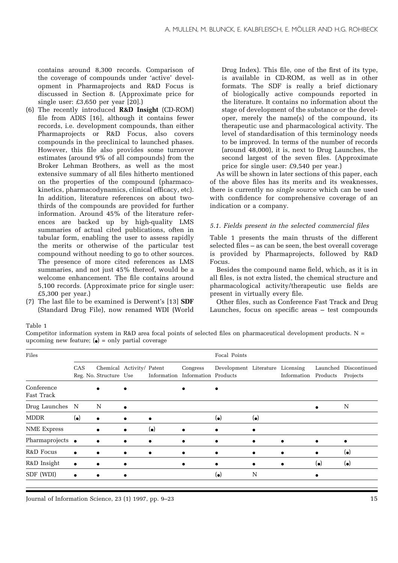contains around 8,300 records. Comparison of the coverage of compounds under 'active' development in Pharmaprojects and R&D Focus is discussed in Section 8. (Approximate price for single user: £3,650 per year [20].)

- (6) The recently introduced **R&D Insight** (CD-ROM) file from ADIS [16], although it contains fewer records, i.e. development compounds, than either Pharmaprojects or R&D Focus, also covers compounds in the preclinical to launched phases. However, this file also provides some turnover estimates (around 9% of all compounds) from the Broker Lehman Brothers, as well as the most extensive summary of all files hitherto mentioned on the properties of the compound (pharmacokinetics, pharmacodynamics, clinical efficacy, etc). In addition, literature references on about twothirds of the compounds are provided for further information. Around 45% of the literature references are backed up by high-quality LMS summaries of actual cited publications, often in tabular form, enabling the user to assess rapidly the merits or otherwise of the particular test compound without needing to go to other sources. The presence of more cited references as LMS summaries, and not just 45% thereof, would be a welcome enhancement. The file contains around 5,100 records. (Approximate price for single user: £5,300 per year.)
- (7) The last file to be examined is Derwent's [13] **SDF** (Standard Drug File), now renamed WDI (World

Drug Index). This file, one of the first of its type, is available in CD-ROM, as well as in other formats. The SDF is really a brief dictionary of biologically active compounds reported in the literature. It contains no information about the stage of development of the substance or the developer, merely the name(s) of the compound, its therapeutic use and pharmacological activity. The level of standardisation of this terminology needs to be improved. In terms of the number of records (around 48,000), it is, next to Drug Launches, the second largest of the seven files. (Approximate price for single user: £9,540 per year.)

As will be shown in later sections of this paper, each of the above files has its merits and its weaknesses, there is currently no *single* source which can be used with confidence for comprehensive coverage of an indication or a company.

#### *5.1. Fields present in the selected commercial files*

Table 1 presents the main thrusts of the different selected files – as can be seen, the best overall coverage is provided by Pharmaprojects, followed by R&D Focus.

Besides the compound name field, which, as it is in all files, is not extra listed, the chemical structure and pharmacological activity/therapeutic use fields are present in virtually every file.

Other files, such as Conference Fast Track and Drug Launches, focus on specific areas – test compounds

#### Table 1

Competitor information system in R&D area focal points of selected files on pharmaceutical development products.  $N =$ upcoming new feature;  $\left( \bullet \right)$  = only partial coverage

| Files                    | Focal Points |                                                     |           |             |                                              |                                  |             |             |             |                                   |
|--------------------------|--------------|-----------------------------------------------------|-----------|-------------|----------------------------------------------|----------------------------------|-------------|-------------|-------------|-----------------------------------|
|                          | CAS          | Chemical Activity/ Patent<br>Reg. No. Structure Use |           |             | Congress<br>Information Information Products | Development Literature Licensing |             | Information | Products    | Launched Discontinued<br>Projects |
| Conference<br>Fast Track |              | $\bullet$                                           |           |             | $\bullet$                                    |                                  |             |             |             |                                   |
| Drug Launches N          |              | N                                                   | ٠         |             |                                              |                                  |             |             |             | N                                 |
| <b>MDDR</b>              | $(\bullet)$  | $\bullet$                                           | $\bullet$ | $\bullet$   |                                              | $(\bullet)$                      | $(\bullet)$ |             |             |                                   |
| <b>NME Express</b>       |              | $\bullet$                                           | ٠         | $(\bullet)$ | $\bullet$                                    | ٠                                |             |             |             |                                   |
| Pharmaprojects •         |              | $\bullet$                                           | $\bullet$ | ٠           | $\bullet$                                    | ٠                                | $\bullet$   | $\bullet$   |             |                                   |
| R&D Focus                | $\bullet$    | $\bullet$                                           | ٠         | $\bullet$   | $\bullet$                                    | $\bullet$                        | $\bullet$   |             |             | $(\bullet)$                       |
| R&D Insight              | $\bullet$    | $\bullet$                                           |           |             | $\bullet$                                    | ٠                                | $\bullet$   | ٠           | $(\bullet)$ | $(\bullet)$                       |
| SDF (WDI)                | $\bullet$    | ٠                                                   |           |             |                                              | $(\bullet)$                      | N           |             |             |                                   |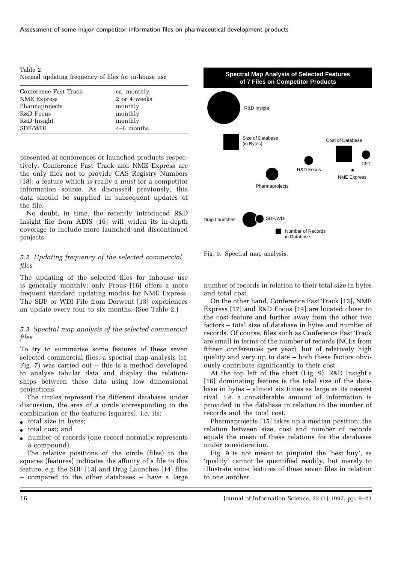| Table 2 |  |  |                                                     |  |
|---------|--|--|-----------------------------------------------------|--|
|         |  |  | Normal updating frequency of files for in-house use |  |

| Conference Fast Track | ca. monthly  |
|-----------------------|--------------|
| NME Express           | 2 or 4 weeks |
| Pharmaprojects        | monthly      |
| R&D Focus             | monthly      |
| R&D Insight           | monthly      |
| SDF/WDI               | $4-6$ months |
|                       |              |

presented at conferences or launched products respectively. Conference Fast Track and NME Express are the only files not to provide CAS Registry Numbers [18]: a feature which is really a *must* for a competitor information source. As discussed previously, this data should be supplied in subsequent updates of the file.

No doubt, in time, the recently introduced R&D Insight file from ADIS [16] will widen its in-depth coverage to include more launched and discontinued projects.

## *5.2. Updating frequency of the selected commercial files*

The updating of the selected files for inhouse use is generally monthly; only Prous [16] offers a more frequent standard updating modus for NME Express. The SDF or WDI File from Derwent [13] experiences an update every four to six months. (See Table 2.)

## *5.3. Spectral map analysis of the selected commercial files*

To try to summarise some features of these seven selected commercial files, a spectral map analysis (cf. Fig. 7) was carried out  $-$  this is a method developed to analyse tabular data and display the relationships between these data using low dimensional projections.

The circles represent the different databases under discussion, the area of a circle corresponding to the combination of the features (squares), i.e. its:

- total size in bytes;
- total cost; and
- number of records (one record normally represents a compound).

The relative positions of the circle (files) to the squares (features) indicates the affinity of a file to this feature, e.g. the SDF [13] and Drug Launches [14] files – compared to the other databases – have a large



Fig. 9. Spectral map analysis.

number of records in relation to their total size in bytes and total cost.

On the other hand, Conference Fast Track [13], NME Express [17] and R&D Focus [14] are located closer to the cost feature and further away from the other two factors – total size of database in bytes and number of records. Of course, files such as Conference Fast Track are small in terms of the number of records (NCEs from fifteen conferences per year), but of relatively high quality and very up to date – both these factors obviously contribute significantly to their cost.

At the top left of the chart (Fig. 9), R&D Insight's [16] dominating feature is the total size of the database in bytes – almost six times as large as its nearest rival, i.e. a considerable amount of information is provided in the database in relation to the number of records and the total cost.

Pharmaprojects [15] takes up a median position: the relation between size, cost and number of records equals the mean of these relations for the databases under consideration.

Fig. 9 is not meant to pinpoint the 'best buy', as 'quality' cannot be quantified readily, but merely to illustrate some features of these seven files in relation to one another.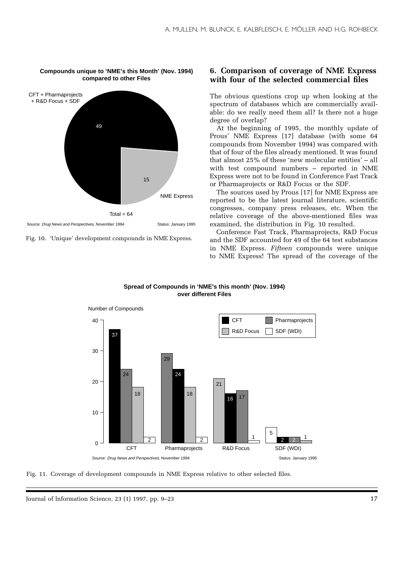

**Compounds unique to 'NME's this Month' (Nov. 1994) compared to other Files**

Fig. 10. 'Unique' development compounds in NME Express.

# **6. Comparison of coverage of NME Express with four of the selected commercial files**

The obvious questions crop up when looking at the spectrum of databases which are commercially available: do we really need them all? Is there not a huge degree of overlap?

At the beginning of 1995, the monthly update of Prous' NME Express [17] database (with some 64 compounds from November 1994) was compared with that of four of the files already mentioned. It was found that almost 25% of these 'new molecular entities' – all with test compound numbers – reported in NME Express were not to be found in Conference Fast Track or Pharmaprojects or R&D Focus or the SDF.

The sources used by Prous [17] for NME Express are reported to be the latest journal literature, scientific congresses, company press releases, etc. When the relative coverage of the above-mentioned files was examined, the distribution in Fig. 10 resulted.

Conference Fast Track, Pharmaprojects, R&D Focus and the SDF accounted for 49 of the 64 test substances in NME Express. *Fifteen* compounds were unique to NME Express! The spread of the coverage of the



**Spread of Compounds in 'NME's this month' (Nov. 1994) over different Files**

Fig. 11. Coverage of development compounds in NME Express relative to other selected files.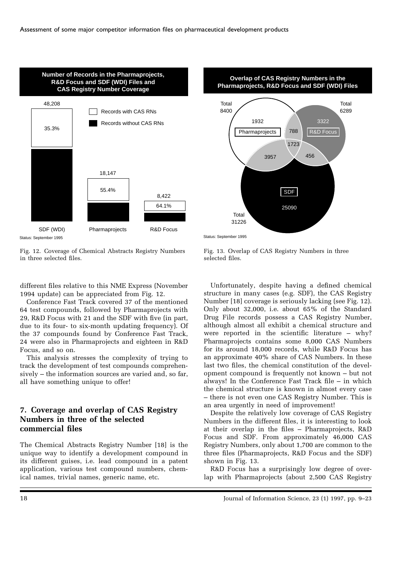

**Overlap of CAS Registry Numbers in the Pharmaprojects, R&D Focus and SDF (WDI) Files** Pharmaprojects 788 R&D Focus 1932 788 3322 Total 8400 Total 6289

1723 3957 456

SDF

25090

Status: September 1995

Total 31226

Status: September 1995

Fig. 12. Coverage of Chemical Abstracts Registry Numbers in three selected files.

different files relative to this NME Express (November 1994 update) can be appreciated from Fig. 12.

Conference Fast Track covered 37 of the mentioned 64 test compounds, followed by Pharmaprojects with 29, R&D Focus with 21 and the SDF with five (in part, due to its four- to six-month updating frequency). Of the 37 compounds found by Conference Fast Track, 24 were also in Pharmaprojects and eighteen in R&D Focus, and so on.

This analysis stresses the complexity of trying to track the development of test compounds comprehensively – the information sources are varied and, so far, all have something unique to offer!

# **7. Coverage and overlap of CAS Registry Numbers in three of the selected commercial files**

The Chemical Abstracts Registry Number [18] is the unique way to identify a development compound in its different guises, i.e. lead compound in a patent application, various test compound numbers, chemical names, trivial names, generic name, etc.

Fig. 13. Overlap of CAS Registry Numbers in three selected files.

Unfortunately, despite having a defined chemical structure in many cases (e.g. SDF), the CAS Registry Number [18] coverage is seriously lacking (see Fig. 12). Only about 32,000, i.e. about 65% of the Standard Drug File records possess a CAS Registry Number, although almost all exhibit a chemical structure and were reported in the scientific literature – why? Pharmaprojects contains some 8,000 CAS Numbers for its around 18,000 records, while R&D Focus has an approximate 40% share of CAS Numbers. In these last two files, the chemical constitution of the development compound is frequently not known – but not always! In the Conference Fast Track file – in which the chemical structure is known in almost every case – there is not even one CAS Registry Number. This is an area urgently in need of improvement!

Despite the relatively low coverage of CAS Registry Numbers in the different files, it is interesting to look at their overlap in the files – Pharmaprojects, R&D Focus and SDF. From approximately 46,000 CAS Registry Numbers, only about 1,700 are common to the three files (Pharmaprojects, R&D Focus and the SDF) shown in Fig. 13.

R&D Focus has a surprisingly low degree of overlap with Pharmaprojects (about 2,500 CAS Registry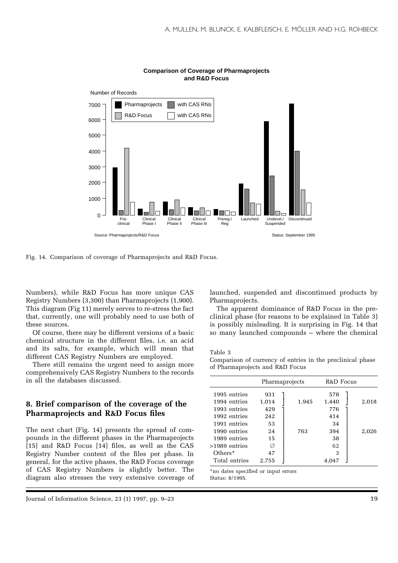

#### **Comparison of Coverage of Pharmaprojects and R&D Focus**

Fig. 14. Comparison of coverage of Pharmaprojects and R&D Focus.

Numbers), while R&D Focus has more unique CAS Registry Numbers (3,300) than Pharmaprojects (1,900). This diagram (Fig 11) merely serves to re-stress the fact that, currently, one will probably need to use both of these sources.

Of course, there may be different versions of a basic chemical structure in the different files, i.e. an acid and its salts, for example, which will mean that different CAS Registry Numbers are employed.

There still remains the urgent need to assign more comprehensively CAS Registry Numbers to the records in all the databases discussed.

# **8. Brief comparison of the coverage of the Pharmaprojects and R&D Focus files**

The next chart (Fig. 14) presents the spread of compounds in the different phases in the Pharmaprojects [15] and R&D Focus [14] files, as well as the CAS Registry Number content of the files per phase. In general, for the active phases, the R&D Focus coverage of CAS Registry Numbers is slightly better. The diagram also stresses the very extensive coverage of

Journal of Information Science, 23 (1) 1997, pp. 9–23 19

launched, suspended and discontinued products by Pharmaprojects.

The apparent dominance of R&D Focus in the preclinical phase (for reasons to be explained in Table 3) is possibly misleading. It is surprising in Fig. 14 that so many launched compounds – where the chemical

#### Table 3

Comparison of currency of entries in the preclinical phase of Pharmaprojects and R&D Focus

|                              |              | Pharmaprojects | R&D Focus    |       |
|------------------------------|--------------|----------------|--------------|-------|
| 1995 entries                 | 931          |                | 578          |       |
| 1994 entries<br>1993 entries | 1,014<br>429 | 1,945          | 1,440<br>776 | 2,018 |
| 1992 entries                 | 242          |                | 414          |       |
| 1991 entries                 | 53           |                | 34           |       |
| 1990 entries                 | 24           | 763            | 394          | 2,026 |
| 1989 entries                 | 15           |                | 38           |       |
| >1989 entries                | Ø            |                | 62           |       |
| $Others*$                    | 47           |                | 3            |       |
| Total entries                | 2.755        |                | 4,047        |       |

\*no dates specified or input errors Status: 8/1995.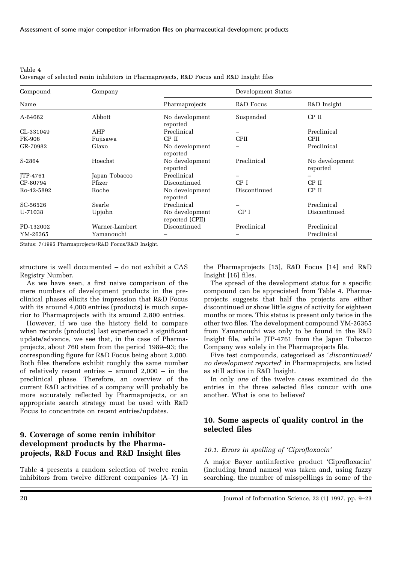Table 4 Coverage of selected renin inhibitors in Pharmaprojects, R&D Focus and R&D Insight files

| Compound        | Company        | Development Status                |              |                            |  |  |
|-----------------|----------------|-----------------------------------|--------------|----------------------------|--|--|
| Name            |                | Pharmaprojects                    | R&D Focus    | R&D Insight                |  |  |
| A-64662         | Abbott         | No development<br>reported        | Suspended    | $CP$ II                    |  |  |
| CL-331049       | AHP            | Preclinical                       | -            | Preclinical                |  |  |
| FK-906          | Fujisawa       | CP II                             | <b>CPII</b>  | <b>CPII</b>                |  |  |
| GR-70982        | Glaxo          | No development<br>reported        |              | Preclinical                |  |  |
| S-2864          | Hoechst        | No development<br>reported        | Preclinical  | No development<br>reported |  |  |
| <b>ITP-4761</b> | Japan Tobacco  | Preclinical                       | -            |                            |  |  |
| CP-80794        | Pfizer         | Discontinued                      | CP I         | $CP$ $II$                  |  |  |
| Ro-42-5892      | Roche          | No development<br>reported        | Discontinued | CP II                      |  |  |
| SC-56526        | Searle         | Preclinical                       |              | Preclinical                |  |  |
| U-71038         | Upjohn         | No development<br>reported (CPII) | CP I         | Discontinued               |  |  |
| PD-132002       | Warner-Lambert | Discontinued                      | Preclinical  | Preclinical                |  |  |
| YM-26365        | Yamanouchi     |                                   |              | Preclinical                |  |  |

Status: 7/1995 Pharmaprojects/R&D Focus/R&D Insight.

structure is well documented – do not exhibit a CAS Registry Number.

As we have seen, a first naive comparison of the mere numbers of development products in the preclinical phases elicits the impression that R&D Focus with its around 4,000 entries (products) is much superior to Pharmaprojects with its around 2,800 entries.

However, if we use the history field to compare when records (products) last experienced a significant update/advance, we see that, in the case of Pharmaprojects, about 760 stem from the period 1989–93; the corresponding figure for R&D Focus being about 2,000. Both files therefore exhibit roughly the same number of relatively recent entries  $-$  around 2,000  $-$  in the preclinical phase. Therefore, an overview of the current R&D activities of a company will probably be more accurately reflected by Pharmaprojects, or an appropriate search strategy must be used with R&D Focus to concentrate on recent entries/updates.

# **9. Coverage of some renin inhibitor development products by the Pharmaprojects, R&D Focus and R&D Insight files**

Table 4 presents a random selection of twelve renin inhibitors from twelve different companies (A–Y) in

the Pharmaprojects [15], R&D Focus [14] and R&D Insight [16] files.

The spread of the development status for a specific compound can be appreciated from Table 4. Pharmaprojects suggests that half the projects are either discontinued or show little signs of activity for eighteen months or more. This status is present only twice in the other two files. The development compound YM-26365 from Yamanouchi was only to be found in the R&D Insight file, while JTP-4761 from the Japan Tobacco Company was solely in the Pharmaprojects file.

Five test compounds, categorised as '*discontinued/ no development reported*' in Pharmaprojects, are listed as still active in R&D Insight.

In only *one* of the twelve cases examined do the entries in the three selected files concur with one another. What is one to believe?

# **10. Some aspects of quality control in the selected files**

#### *10.1. Errors in spelling of 'Ciprofloxacin'*

A major Bayer antiinfective product 'Ciprofloxacin' (including brand names) was taken and, using fuzzy searching, the number of misspellings in some of the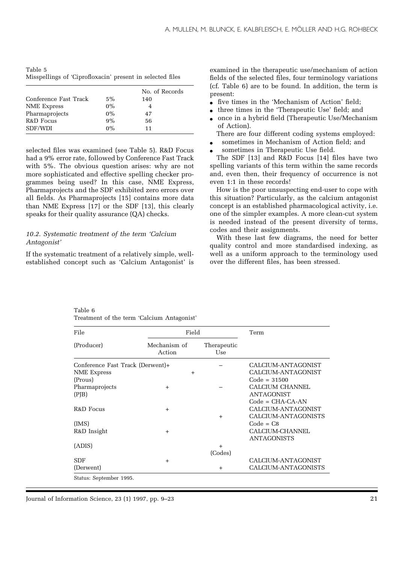| Table 5 |                                                           |  |  |
|---------|-----------------------------------------------------------|--|--|
|         | Misspellings of 'Ciprofloxacin' present in selected files |  |  |

|                       |       | No. of Records |
|-----------------------|-------|----------------|
| Conference Fast Track | $5\%$ | 140            |
| NME Express           | $0\%$ |                |
| Pharmaprojects        | $0\%$ | 47             |
| R&D Focus             | 9%    | 56             |
| SDF/WDI               | $0\%$ | 11             |

selected files was examined (see Table 5). R&D Focus had a 9% error rate, followed by Conference Fast Track with 5%. The obvious question arises: why are not more sophisticated and effective spelling checker programmes being used? In this case, NME Express, Pharmaprojects and the SDF exhibited zero errors over all fields. As Pharmaprojects [15] contains more data than NME Express [17] or the SDF [13], this clearly speaks for their quality assurance (QA) checks.

#### *10.2. Systematic treatment of the term 'Calcium Antagonist'*

If the systematic treatment of a relatively simple, wellestablished concept such as 'Calcium Antagonist' is

examined in the therapeutic use/mechanism of action fields of the selected files, four terminology variations (cf. Table 6) are to be found. In addition, the term is present:

- five times in the 'Mechanism of Action' field;
- three times in the 'Therapeutic Use' field; and
- once in a hybrid field (Therapeutic Use/Mechanism of Action).

There are four different coding systems employed:

- sometimes in Mechanism of Action field; and
- sometimes in Therapeutic Use field.

The SDF [13] and R&D Focus [14] files have two spelling variants of this term within the same records and, even then, their frequency of occurrence is not even 1:1 in these records!

How is the poor unsuspecting end-user to cope with this situation? Particularly, as the calcium antagonist concept is an established pharmacological activity, i.e. one of the simpler examples. A more clean-cut system is needed instead of the present diversity of terms, codes and their assignments.

With these last few diagrams, the need for better quality control and more standardised indexing, as well as a uniform approach to the terminology used over the different files, has been stressed.

| Table 6 |  |                                            |
|---------|--|--------------------------------------------|
|         |  | Treatment of the term 'Calcium Antagonist' |

| File                             | Field                  |                    | Term                |
|----------------------------------|------------------------|--------------------|---------------------|
| (Producer)                       | Mechanism of<br>Action | Therapeutic<br>Use |                     |
| Conference Fast Track (Derwent)+ |                        |                    | CALCIUM-ANTAGONIST  |
| NME Express                      | $+$                    |                    | CALCIUM-ANTAGONIST  |
| (Prous)                          |                        |                    | $Code = 31500$      |
| Pharmaprojects                   | $+$                    |                    | CALCIUM CHANNEL     |
| (PJB)                            |                        |                    | <b>ANTAGONIST</b>   |
|                                  |                        |                    | $Code = CHA-CA-AN$  |
| R&D Focus                        | $+$                    |                    | CALCIUM-ANTAGONIST  |
|                                  |                        | $+$                | CALCIUM-ANTAGONISTS |
| (MS)                             |                        |                    | $Code = CB$         |
| R&D Insight                      | $+$                    |                    | CALCIUM-CHANNEL     |
|                                  |                        |                    | <b>ANTAGONISTS</b>  |
| (ADIS)                           |                        | $+$                |                     |
|                                  |                        | (Codes)            |                     |
| <b>SDF</b>                       | $+$                    |                    | CALCIUM-ANTAGONIST  |
| (Derwent)                        |                        | $\ddot{}$          | CALCIUM-ANTAGONISTS |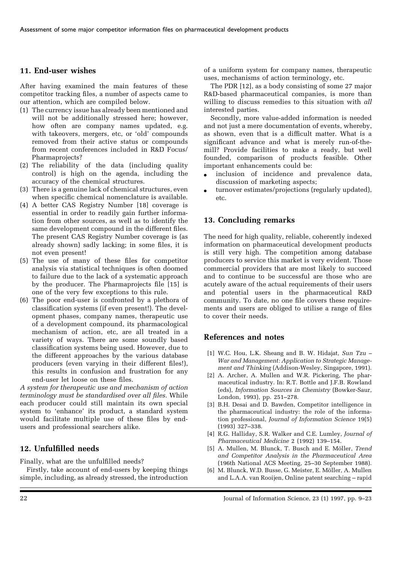# **11. End-user wishes**

After having examined the main features of these competitor tracking files, a number of aspects came to our attention, which are compiled below.

- (1) The currency issue has already been mentioned and will not be additionally stressed here; however, how often are company names updated, e.g. with takeovers, mergers, etc, or 'old' compounds removed from their active status or compounds from recent conferences included in R&D Focus/ Pharmaprojects?
- (2) The reliability of the data (including quality control) is high on the agenda, including the accuracy of the chemical structures.
- (3) There is a genuine lack of chemical structures, even when specific chemical nomenclature is available.
- (4) A better CAS Registry Number [18] coverage is essential in order to readily gain further information from other sources, as well as to identify the same development compound in the different files. The present CAS Registry Number coverage is (as already shown) sadly lacking; in some files, it is not even present!
- (5) The use of many of these files for competitor analysis via statistical techniques is often doomed to failure due to the lack of a systematic approach by the producer. The Pharmaprojects file [15] is one of the very few exceptions to this rule.
- (6) The poor end-user is confronted by a plethora of classification systems (if even present!). The development phases, company names, therapeutic use of a development compound, its pharmacological mechanism of action, etc, are all treated in a variety of ways. There are some soundly based classification systems being used. However, due to the different approaches by the various database producers (even varying in their different files!), this results in confusion and frustration for any end-user let loose on these files.

*A system for therapeutic use and mechanism of action terminology must be standardised over all files*. While each producer could still maintain its own special system to 'enhance' its product, a standard system would facilitate multiple use of these files by endusers and professional searchers alike.

# **12. Unfulfilled needs**

Finally, what are the unfulfilled needs?

Firstly, take account of end-users by keeping things simple, including, as already stressed, the introduction of a uniform system for company names, therapeutic uses, mechanisms of action terminology, etc.

The PDR [12], as a body consisting of some 27 major R&D-based pharmaceutical companies, is more than willing to discuss remedies to this situation with *all* interested parties.

Secondly, more value-added information is needed and not just a mere documentation of events, whereby, as shown, even that is a difficult matter. What is a significant advance and what is merely run-of-themill? Provide facilities to make a ready, but well founded, comparison of products feasible. Other important enhancements could be:

- inclusion of incidence and prevalence data, discussion of marketing aspects;
- turnover estimates/projections (regularly updated), etc.

## **13. Concluding remarks**

The need for high quality, reliable, coherently indexed information on pharmaceutical development products is still very high. The competition among database producers to service this market is very evident. Those commercial providers that are most likely to succeed and to continue to be successful are those who are acutely aware of the actual requirements of their users and potential users in the pharmaceutical R&D community. To date, no one file covers these requirements and users are obliged to utilise a range of files to cover their needs.

## **References and notes**

- [1] W.C. Hou, L.K. Sheang and B. W. Hidajat, *Sun Tzu – War and Management: Application to Strategic Management and Thinking* (Addison-Wesley, Singapore, 1991).
- [2] A. Archer, A. Mullen and W.R. Pickering, The pharmaceutical industry. In: R.T. Bottle and J.F.B. Rowland (eds), *Information Sources in Chemistry* (Bowker-Saur, London, 1993), pp. 251–278.
- [3] B.H. Desai and D. Bawden, Competitor intelligence in the pharmaceutical industry: the role of the information professional, *Journal of Information Science* 19(5) (1993) 327–338.
- [4] R.G. Halliday, S.R. Walker and C.E. Lumley, *Journal of Pharmaceutical Medicine* 2 (1992) 139–154.
- [5] A. Mullen, M. Blunck, T. Busch and E. Möller, *Trend and Competitor Analysis in the Pharmaceutical Area* (196th National ACS Meeting, 25–30 September 1988).
- [6] M. Blunck, W.D. Busse, G. Meister, E. Möller, A. Mullen and L.A.A. van Rooijen, Online patent searching – rapid